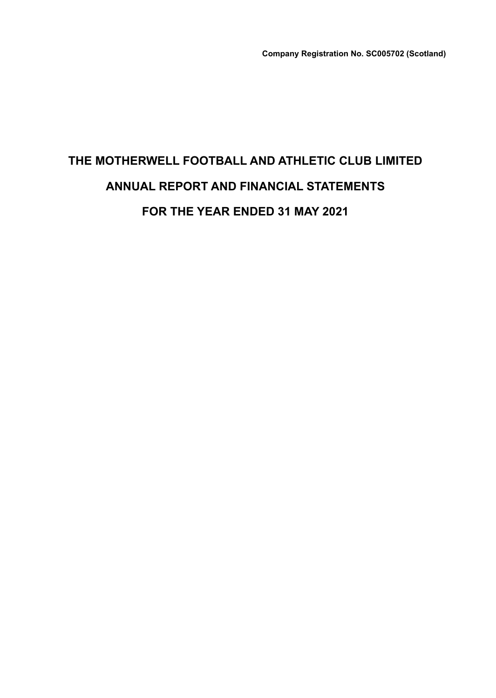# **THE MOTHERWELL FOOTBALL AND ATHLETIC CLUB LIMITED ANNUAL REPORT AND FINANCIAL STATEMENTS FOR THE YEAR ENDED 31 MAY 2021**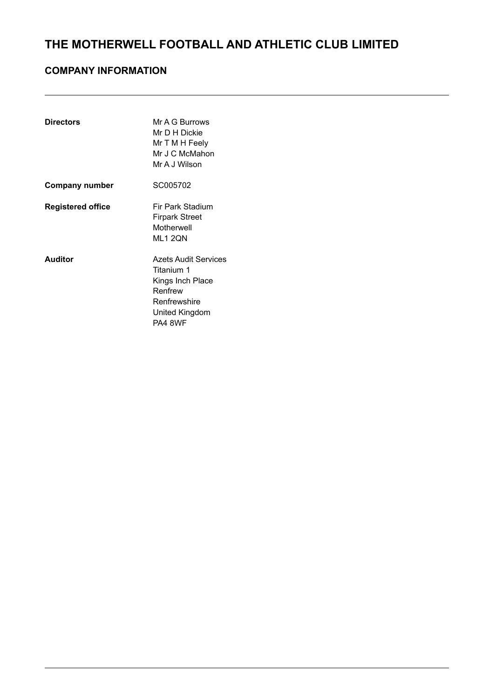### **COMPANY INFORMATION**

| <b>Directors</b>         | Mr A G Burrows<br>Mr D H Dickie<br>Mr T M H Feely<br>Mr J C McMahon<br>Mr A J Wilson                           |
|--------------------------|----------------------------------------------------------------------------------------------------------------|
| <b>Company number</b>    | SC005702                                                                                                       |
| <b>Registered office</b> | Fir Park Stadium<br>Firpark Street<br>Motherwell<br>ML1 2QN                                                    |
| <b>Auditor</b>           | Azets Audit Services<br>Titanium 1<br>Kings Inch Place<br>Renfrew<br>Renfrewshire<br>United Kingdom<br>PA4 8WF |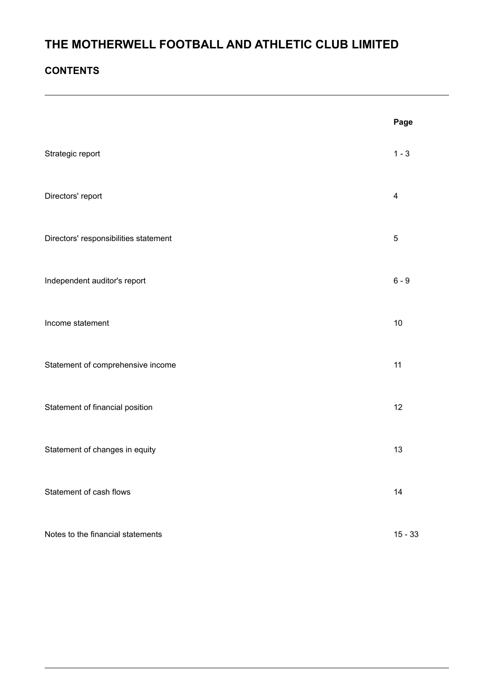### **CONTENTS**

|                                       | Page                    |
|---------------------------------------|-------------------------|
| Strategic report                      | $1 - 3$                 |
| Directors' report                     | $\overline{\mathbf{4}}$ |
| Directors' responsibilities statement | $\sqrt{5}$              |
| Independent auditor's report          | $6 - 9$                 |
| Income statement                      | 10                      |
| Statement of comprehensive income     | 11                      |
| Statement of financial position       | 12                      |
| Statement of changes in equity        | 13                      |
| Statement of cash flows               | 14                      |
| Notes to the financial statements     | $15 - 33$               |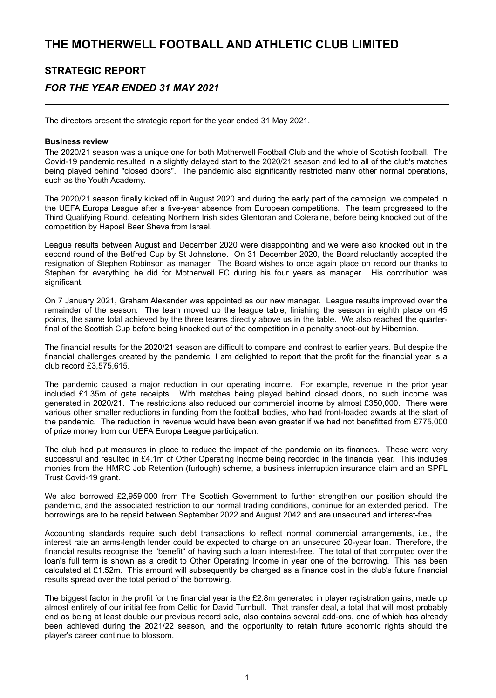# **STRATEGIC REPORT** *FOR THE YEAR ENDED 31 MAY 2021*

The directors present the strategic report for the year ended 31 May 2021.

#### **Business review**

The 2020/21 season was a unique one for both Motherwell Football Club and the whole of Scottish football. The Covid-19 pandemic resulted in a slightly delayed start to the 2020/21 season and led to all of the club's matches being played behind "closed doors". The pandemic also significantly restricted many other normal operations, such as the Youth Academy.

The 2020/21 season finally kicked off in August 2020 and during the early part of the campaign, we competed in the UEFA Europa League after a five-year absence from European competitions. The team progressed to the Third Qualifying Round, defeating Northern Irish sides Glentoran and Coleraine, before being knocked out of the competition by Hapoel Beer Sheva from Israel.

League results between August and December 2020 were disappointing and we were also knocked out in the second round of the Betfred Cup by St Johnstone. On 31 December 2020, the Board reluctantly accepted the resignation of Stephen Robinson as manager. The Board wishes to once again place on record our thanks to Stephen for everything he did for Motherwell FC during his four years as manager. His contribution was significant.

On 7 January 2021, Graham Alexander was appointed as our new manager. League results improved over the remainder of the season. The team moved up the league table, finishing the season in eighth place on 45 points, the same total achieved by the three teams directly above us in the table. We also reached the quarterfinal of the Scottish Cup before being knocked out of the competition in a penalty shoot-out by Hibernian.

The financial results for the 2020/21 season are difficult to compare and contrast to earlier years. But despite the financial challenges created by the pandemic, I am delighted to report that the profit for the financial year is a club record £3,575,615.

The pandemic caused a major reduction in our operating income. For example, revenue in the prior year included £1.35m of gate receipts. With matches being played behind closed doors, no such income was generated in 2020/21. The restrictions also reduced our commercial income by almost £350,000. There were various other smaller reductions in funding from the football bodies, who had front-loaded awards at the start of the pandemic. The reduction in revenue would have been even greater if we had not benefitted from £775,000 of prize money from our UEFA Europa League participation.

The club had put measures in place to reduce the impact of the pandemic on its finances. These were very successful and resulted in £4.1m of Other Operating Income being recorded in the financial year. This includes monies from the HMRC Job Retention (furlough) scheme, a business interruption insurance claim and an SPFL Trust Covid-19 grant.

We also borrowed £2,959,000 from The Scottish Government to further strengthen our position should the pandemic, and the associated restriction to our normal trading conditions, continue for an extended period. The borrowings are to be repaid between September 2022 and August 2042 and are unsecured and interest-free.

Accounting standards require such debt transactions to reflect normal commercial arrangements, i.e., the interest rate an arms-length lender could be expected to charge on an unsecured 20-year loan. Therefore, the financial results recognise the "benefit" of having such a loan interest-free. The total of that computed over the loan's full term is shown as a credit to Other Operating Income in year one of the borrowing. This has been calculated at £1.52m. This amount will subsequently be charged as a finance cost in the club's future financial results spread over the total period of the borrowing.

The biggest factor in the profit for the financial year is the £2.8m generated in player registration gains, made up almost entirely of our initial fee from Celtic for David Turnbull. That transfer deal, a total that will most probably end as being at least double our previous record sale, also contains several add-ons, one of which has already been achieved during the 2021/22 season, and the opportunity to retain future economic rights should the player's career continue to blossom.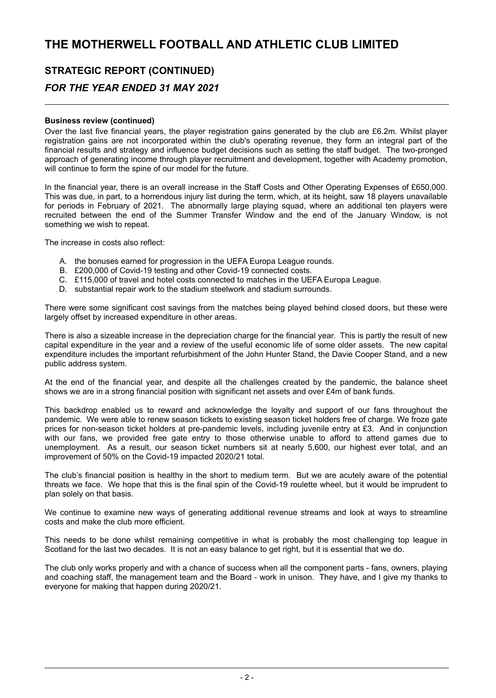# **STRATEGIC REPORT (CONTINUED)**

### *FOR THE YEAR ENDED 31 MAY 2021*

#### **Business review (continued)**

Over the last five financial years, the player registration gains generated by the club are £6.2m. Whilst player registration gains are not incorporated within the club's operating revenue, they form an integral part of the financial results and strategy and influence budget decisions such as setting the staff budget. The two-pronged approach of generating income through player recruitment and development, together with Academy promotion, will continue to form the spine of our model for the future.

In the financial year, there is an overall increase in the Staff Costs and Other Operating Expenses of £650,000. This was due, in part, to a horrendous injury list during the term, which, at its height, saw 18 players unavailable for periods in February of 2021. The abnormally large playing squad, where an additional ten players were recruited between the end of the Summer Transfer Window and the end of the January Window, is not something we wish to repeat.

The increase in costs also reflect:

- A. the bonuses earned for progression in the UEFA Europa League rounds.
- B. £200,000 of Covid-19 testing and other Covid-19 connected costs.
- C. £115,000 of travel and hotel costs connected to matches in the UEFA Europa League.
- D. substantial repair work to the stadium steelwork and stadium surrounds.

There were some significant cost savings from the matches being played behind closed doors, but these were largely offset by increased expenditure in other areas.

There is also a sizeable increase in the depreciation charge for the financial year. This is partly the result of new capital expenditure in the year and a review of the useful economic life of some older assets. The new capital expenditure includes the important refurbishment of the John Hunter Stand, the Davie Cooper Stand, and a new public address system.

At the end of the financial year, and despite all the challenges created by the pandemic, the balance sheet shows we are in a strong financial position with significant net assets and over £4m of bank funds.

This backdrop enabled us to reward and acknowledge the loyalty and support of our fans throughout the pandemic. We were able to renew season tickets to existing season ticket holders free of charge. We froze gate prices for non-season ticket holders at pre-pandemic levels, including juvenile entry at £3. And in conjunction with our fans, we provided free gate entry to those otherwise unable to afford to attend games due to unemployment. As a result, our season ticket numbers sit at nearly 5,600, our highest ever total, and an improvement of 50% on the Covid-19 impacted 2020/21 total.

The club's financial position is healthy in the short to medium term. But we are acutely aware of the potential threats we face. We hope that this is the final spin of the Covid-19 roulette wheel, but it would be imprudent to plan solely on that basis.

We continue to examine new ways of generating additional revenue streams and look at ways to streamline costs and make the club more efficient.

This needs to be done whilst remaining competitive in what is probably the most challenging top league in Scotland for the last two decades. It is not an easy balance to get right, but it is essential that we do.

The club only works properly and with a chance of success when all the component parts - fans, owners, playing and coaching staff, the management team and the Board - work in unison. They have, and I give my thanks to everyone for making that happen during 2020/21.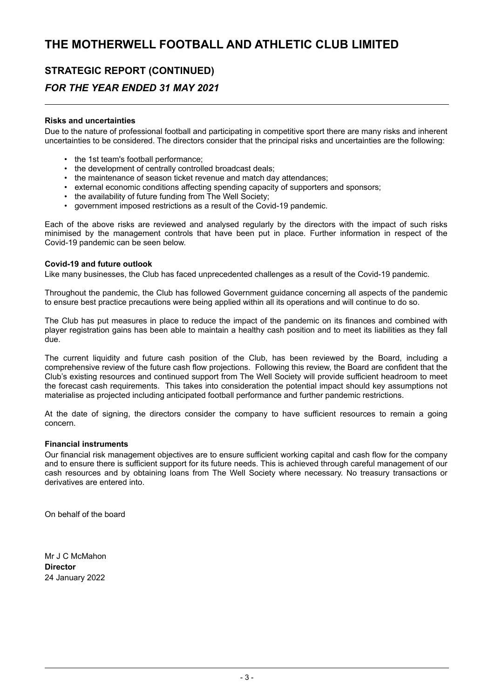### **STRATEGIC REPORT (CONTINUED)**

### *FOR THE YEAR ENDED 31 MAY 2021*

#### **Risks and uncertainties**

Due to the nature of professional football and participating in competitive sport there are many risks and inherent uncertainties to be considered. The directors consider that the principal risks and uncertainties are the following:

- the 1st team's football performance;
- the development of centrally controlled broadcast deals;
- the maintenance of season ticket revenue and match day attendances;
- external economic conditions affecting spending capacity of supporters and sponsors;
- the availability of future funding from The Well Society;
- government imposed restrictions as a result of the Covid-19 pandemic.

Each of the above risks are reviewed and analysed regularly by the directors with the impact of such risks minimised by the management controls that have been put in place. Further information in respect of the Covid-19 pandemic can be seen below.

#### **Covid-19 and future outlook**

Like many businesses, the Club has faced unprecedented challenges as a result of the Covid-19 pandemic.

Throughout the pandemic, the Club has followed Government guidance concerning all aspects of the pandemic to ensure best practice precautions were being applied within all its operations and will continue to do so.

The Club has put measures in place to reduce the impact of the pandemic on its finances and combined with player registration gains has been able to maintain a healthy cash position and to meet its liabilities as they fall due.

The current liquidity and future cash position of the Club, has been reviewed by the Board, including a comprehensive review of the future cash flow projections. Following this review, the Board are confident that the Club's existing resources and continued support from The Well Society will provide sufficient headroom to meet the forecast cash requirements. This takes into consideration the potential impact should key assumptions not materialise as projected including anticipated football performance and further pandemic restrictions.

At the date of signing, the directors consider the company to have sufficient resources to remain a going concern.

#### **Financial instruments**

Our financial risk management objectives are to ensure sufficient working capital and cash flow for the company and to ensure there is sufficient support for its future needs. This is achieved through careful management of our cash resources and by obtaining loans from The Well Society where necessary. No treasury transactions or derivatives are entered into.

On behalf of the board

Mr J C McMahon **Director** 24 January 2022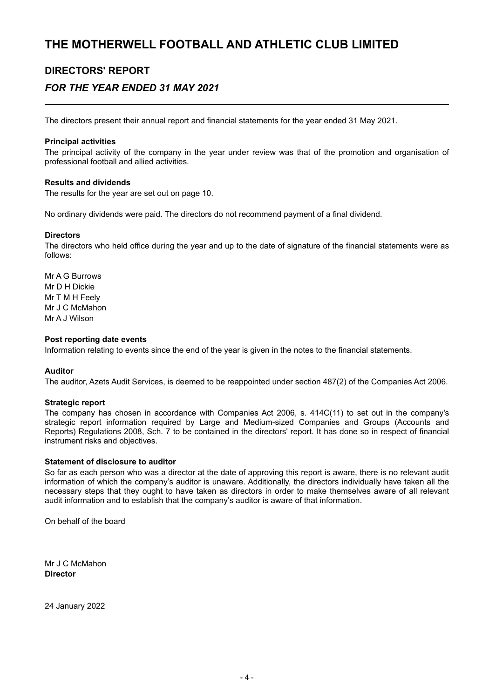### **DIRECTORS' REPORT**

### *FOR THE YEAR ENDED 31 MAY 2021*

The directors present their annual report and financial statements for the year ended 31 May 2021.

#### **Principal activities**

The principal activity of the company in the year under review was that of the promotion and organisation of professional football and allied activities.

#### **Results and dividends**

The results for the year are set out on page 10.

No ordinary dividends were paid. The directors do not recommend payment of a final dividend.

#### **Directors**

The directors who held office during the year and up to the date of signature of the financial statements were as follows:

Mr A G Burrows Mr D H Dickie Mr T M H Feely Mr J C McMahon Mr A J Wilson

#### **Post reporting date events**

Information relating to events since the end of the year is given in the notes to the financial statements.

#### **Auditor**

The auditor, Azets Audit Services, is deemed to be reappointed under section 487(2) of the Companies Act 2006.

#### **Strategic report**

The company has chosen in accordance with Companies Act 2006, s. 414C(11) to set out in the company's strategic report information required by Large and Medium-sized Companies and Groups (Accounts and Reports) Regulations 2008, Sch. 7 to be contained in the directors' report. It has done so in respect of financial instrument risks and objectives.

#### **Statement of disclosure to auditor**

So far as each person who was a director at the date of approving this report is aware, there is no relevant audit information of which the company's auditor is unaware. Additionally, the directors individually have taken all the necessary steps that they ought to have taken as directors in order to make themselves aware of all relevant audit information and to establish that the company's auditor is aware of that information.

On behalf of the board

Mr J C McMahon **Director**

24 January 2022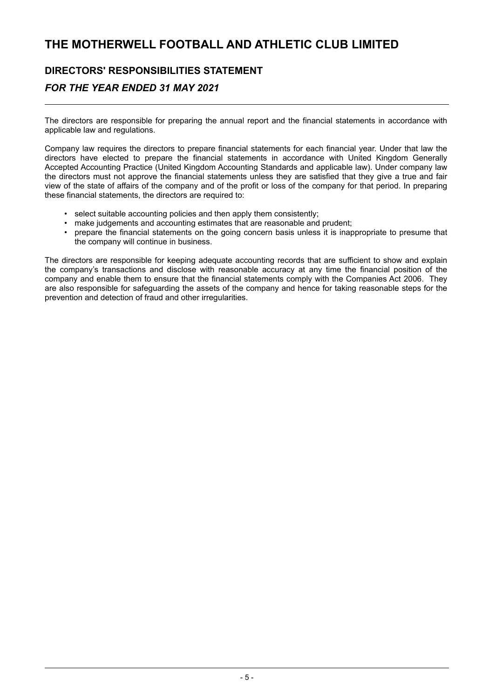### **DIRECTORS' RESPONSIBILITIES STATEMENT**

### *FOR THE YEAR ENDED 31 MAY 2021*

The directors are responsible for preparing the annual report and the financial statements in accordance with applicable law and regulations.

Company law requires the directors to prepare financial statements for each financial year. Under that law the directors have elected to prepare the financial statements in accordance with United Kingdom Generally Accepted Accounting Practice (United Kingdom Accounting Standards and applicable law). Under company law the directors must not approve the financial statements unless they are satisfied that they give a true and fair view of the state of affairs of the company and of the profit or loss of the company for that period. In preparing these financial statements, the directors are required to:

- select suitable accounting policies and then apply them consistently;
- make judgements and accounting estimates that are reasonable and prudent;
- prepare the financial statements on the going concern basis unless it is inappropriate to presume that the company will continue in business.

The directors are responsible for keeping adequate accounting records that are sufficient to show and explain the company's transactions and disclose with reasonable accuracy at any time the financial position of the company and enable them to ensure that the financial statements comply with the Companies Act 2006. They are also responsible for safeguarding the assets of the company and hence for taking reasonable steps for the prevention and detection of fraud and other irregularities.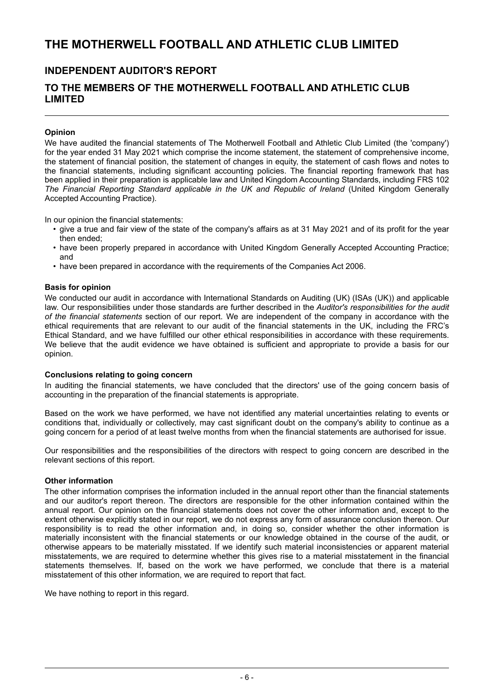### **INDEPENDENT AUDITOR'S REPORT**

### **TO THE MEMBERS OF THE MOTHERWELL FOOTBALL AND ATHLETIC CLUB LIMITED**

#### **Opinion**

We have audited the financial statements of The Motherwell Football and Athletic Club Limited (the 'company') for the year ended 31 May 2021 which comprise the income statement, the statement of comprehensive income. the statement of financial position, the statement of changes in equity, the statement of cash flows and notes to the financial statements, including significant accounting policies. The financial reporting framework that has been applied in their preparation is applicable law and United Kingdom Accounting Standards, including FRS 102 *The Financial Reporting Standard applicable in the UK and Republic of Ireland* (United Kingdom Generally Accepted Accounting Practice).

In our opinion the financial statements:

- give a true and fair view of the state of the company's affairs as at 31 May 2021 and of its profit for the year then ended;
- have been properly prepared in accordance with United Kingdom Generally Accepted Accounting Practice; and
- have been prepared in accordance with the requirements of the Companies Act 2006.

#### **Basis for opinion**

We conducted our audit in accordance with International Standards on Auditing (UK) (ISAs (UK)) and applicable law. Our responsibilities under those standards are further described in the *Auditor's responsibilities for the audit of the financial statements* section of our report. We are independent of the company in accordance with the ethical requirements that are relevant to our audit of the financial statements in the UK, including the FRC's Ethical Standard, and we have fulfilled our other ethical responsibilities in accordance with these requirements. We believe that the audit evidence we have obtained is sufficient and appropriate to provide a basis for our opinion.

#### **Conclusions relating to going concern**

In auditing the financial statements, we have concluded that the directors' use of the going concern basis of accounting in the preparation of the financial statements is appropriate.

Based on the work we have performed, we have not identified any material uncertainties relating to events or conditions that, individually or collectively, may cast significant doubt on the company's ability to continue as a going concern for a period of at least twelve months from when the financial statements are authorised for issue.

Our responsibilities and the responsibilities of the directors with respect to going concern are described in the relevant sections of this report.

#### **Other information**

The other information comprises the information included in the annual report other than the financial statements and our auditor's report thereon. The directors are responsible for the other information contained within the annual report. Our opinion on the financial statements does not cover the other information and, except to the extent otherwise explicitly stated in our report, we do not express any form of assurance conclusion thereon. Our responsibility is to read the other information and, in doing so, consider whether the other information is materially inconsistent with the financial statements or our knowledge obtained in the course of the audit, or otherwise appears to be materially misstated. If we identify such material inconsistencies or apparent material misstatements, we are required to determine whether this gives rise to a material misstatement in the financial statements themselves. If, based on the work we have performed, we conclude that there is a material misstatement of this other information, we are required to report that fact.

We have nothing to report in this regard.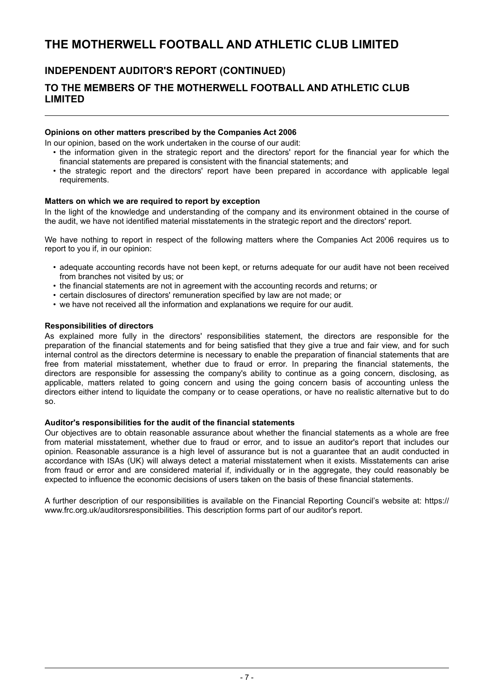### **INDEPENDENT AUDITOR'S REPORT (CONTINUED)**

### **TO THE MEMBERS OF THE MOTHERWELL FOOTBALL AND ATHLETIC CLUB LIMITED**

#### **Opinions on other matters prescribed by the Companies Act 2006**

In our opinion, based on the work undertaken in the course of our audit:

- the information given in the strategic report and the directors' report for the financial year for which the financial statements are prepared is consistent with the financial statements; and
- the strategic report and the directors' report have been prepared in accordance with applicable legal requirements.

#### **Matters on which we are required to report by exception**

In the light of the knowledge and understanding of the company and its environment obtained in the course of the audit, we have not identified material misstatements in the strategic report and the directors' report.

We have nothing to report in respect of the following matters where the Companies Act 2006 requires us to report to you if, in our opinion:

- adequate accounting records have not been kept, or returns adequate for our audit have not been received from branches not visited by us; or
- the financial statements are not in agreement with the accounting records and returns; or
- certain disclosures of directors' remuneration specified by law are not made; or
- we have not received all the information and explanations we require for our audit.

#### **Responsibilities of directors**

As explained more fully in the directors' responsibilities statement, the directors are responsible for the preparation of the financial statements and for being satisfied that they give a true and fair view, and for such internal control as the directors determine is necessary to enable the preparation of financial statements that are free from material misstatement, whether due to fraud or error. In preparing the financial statements, the directors are responsible for assessing the company's ability to continue as a going concern, disclosing, as applicable, matters related to going concern and using the going concern basis of accounting unless the directors either intend to liquidate the company or to cease operations, or have no realistic alternative but to do so.

#### **Auditor's responsibilities for the audit of the financial statements**

Our objectives are to obtain reasonable assurance about whether the financial statements as a whole are free from material misstatement, whether due to fraud or error, and to issue an auditor's report that includes our opinion. Reasonable assurance is a high level of assurance but is not a guarantee that an audit conducted in accordance with ISAs (UK) will always detect a material misstatement when it exists. Misstatements can arise from fraud or error and are considered material if, individually or in the aggregate, they could reasonably be expected to influence the economic decisions of users taken on the basis of these financial statements.

A further description of our responsibilities is available on the Financial Reporting Council's website at: https:// www.frc.org.uk/auditorsresponsibilities. This description forms part of our auditor's report.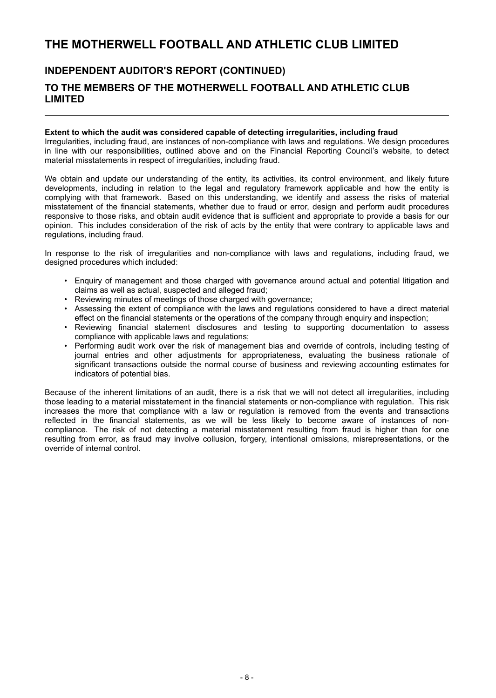### **INDEPENDENT AUDITOR'S REPORT (CONTINUED) TO THE MEMBERS OF THE MOTHERWELL FOOTBALL AND ATHLETIC CLUB LIMITED**

#### **Extent to which the audit was considered capable of detecting irregularities, including fraud**

Irregularities, including fraud, are instances of non-compliance with laws and regulations. We design procedures in line with our responsibilities, outlined above and on the Financial Reporting Council's website, to detect material misstatements in respect of irregularities, including fraud.

We obtain and update our understanding of the entity, its activities, its control environment, and likely future developments, including in relation to the legal and regulatory framework applicable and how the entity is complying with that framework. Based on this understanding, we identify and assess the risks of material misstatement of the financial statements, whether due to fraud or error, design and perform audit procedures responsive to those risks, and obtain audit evidence that is sufficient and appropriate to provide a basis for our opinion. This includes consideration of the risk of acts by the entity that were contrary to applicable laws and regulations, including fraud.

In response to the risk of irregularities and non-compliance with laws and regulations, including fraud, we designed procedures which included:

- Enquiry of management and those charged with governance around actual and potential litigation and claims as well as actual, suspected and alleged fraud;
- Reviewing minutes of meetings of those charged with governance;
- Assessing the extent of compliance with the laws and regulations considered to have a direct material effect on the financial statements or the operations of the company through enquiry and inspection;
- Reviewing financial statement disclosures and testing to supporting documentation to assess compliance with applicable laws and regulations;
- Performing audit work over the risk of management bias and override of controls, including testing of journal entries and other adjustments for appropriateness, evaluating the business rationale of significant transactions outside the normal course of business and reviewing accounting estimates for indicators of potential bias.

Because of the inherent limitations of an audit, there is a risk that we will not detect all irregularities, including those leading to a material misstatement in the financial statements or non-compliance with regulation. This risk increases the more that compliance with a law or regulation is removed from the events and transactions reflected in the financial statements, as we will be less likely to become aware of instances of noncompliance. The risk of not detecting a material misstatement resulting from fraud is higher than for one resulting from error, as fraud may involve collusion, forgery, intentional omissions, misrepresentations, or the override of internal control.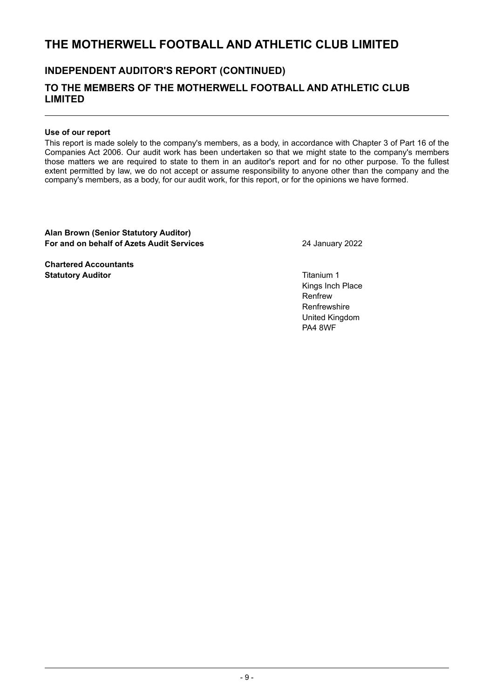### **INDEPENDENT AUDITOR'S REPORT (CONTINUED)**

### **TO THE MEMBERS OF THE MOTHERWELL FOOTBALL AND ATHLETIC CLUB LIMITED**

#### **Use of our report**

This report is made solely to the company's members, as a body, in accordance with Chapter 3 of Part 16 of the Companies Act 2006. Our audit work has been undertaken so that we might state to the company's members those matters we are required to state to them in an auditor's report and for no other purpose. To the fullest extent permitted by law, we do not accept or assume responsibility to anyone other than the company and the company's members, as a body, for our audit work, for this report, or for the opinions we have formed.

**Alan Brown (Senior Statutory Auditor) For and on behalf of Azets Audit Services** 24 January 2022

**Chartered Accountants Statutory Auditor Contract Contract Contract Contract Contract Contract Contract Contract Contract Contract Contract Contract Contract Contract Contract Contract Contract Contract Contract Contract Contract Contract Con** 

Kings Inch Place Renfrew **Renfrewshire** United Kingdom PA4 8WF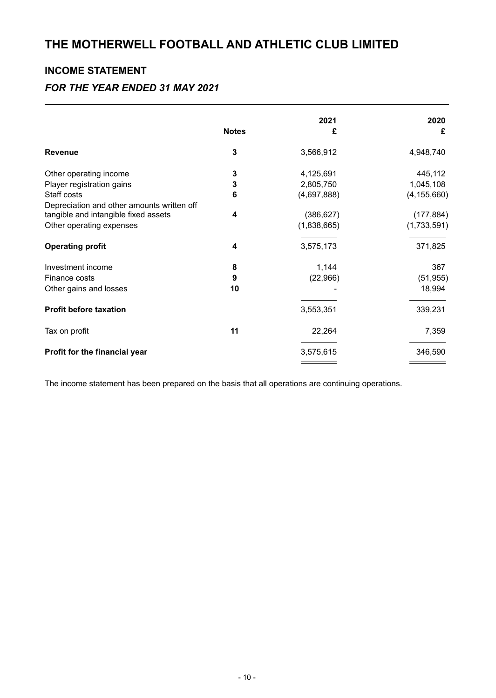### **INCOME STATEMENT**

### *FOR THE YEAR ENDED 31 MAY 2021*

| <b>Notes</b> | 2021<br>£                 | 2020<br>£                 |
|--------------|---------------------------|---------------------------|
| 3            | 3,566,912                 | 4,948,740                 |
| 3            | 4,125,691                 | 445,112                   |
| 3            | 2,805,750                 | 1,045,108                 |
| 6            | (4,697,888)               | (4, 155, 660)             |
| 4            | (386, 627)<br>(1,838,665) | (177, 884)<br>(1,733,591) |
| 4            | 3,575,173                 | 371,825                   |
| 8            | 1,144                     | 367                       |
| 9            | (22,966)                  | (51, 955)                 |
| 10           |                           | 18,994                    |
|              | 3,553,351                 | 339,231                   |
| 11           | 22,264                    | 7,359                     |
|              | 3,575,615                 | 346,590                   |
|              |                           |                           |

The income statement has been prepared on the basis that all operations are continuing operations.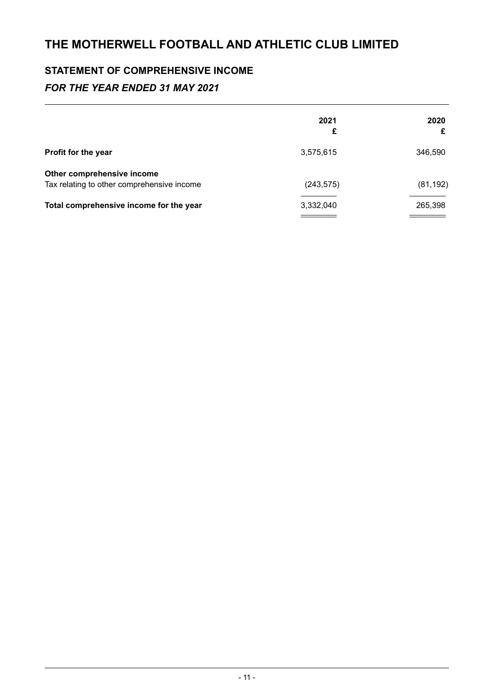## **STATEMENT OF COMPREHENSIVE INCOME**

### *FOR THE YEAR ENDED 31 MAY 2021*

|                                                                          | 2021<br>£  | 2020<br>£ |
|--------------------------------------------------------------------------|------------|-----------|
| Profit for the year                                                      | 3,575,615  | 346,590   |
| Other comprehensive income<br>Tax relating to other comprehensive income | (243, 575) | (81, 192) |
| Total comprehensive income for the year                                  | 3,332,040  | 265,398   |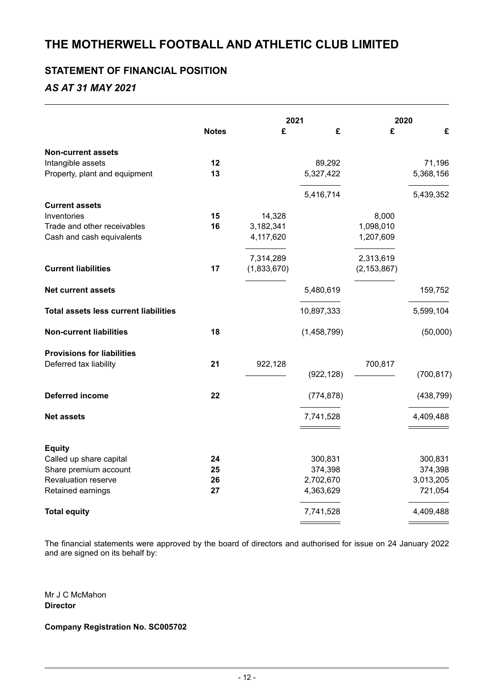### **STATEMENT OF FINANCIAL POSITION**

### *AS AT 31 MAY 2021*

|                                              |              |             | 2021        | 2020          |            |
|----------------------------------------------|--------------|-------------|-------------|---------------|------------|
|                                              | <b>Notes</b> | £           | £           | £             | £          |
| <b>Non-current assets</b>                    |              |             |             |               |            |
| Intangible assets                            | 12           |             | 89,292      |               | 71,196     |
| Property, plant and equipment                | 13           |             | 5,327,422   |               | 5,368,156  |
|                                              |              |             | 5,416,714   |               | 5,439,352  |
| <b>Current assets</b>                        |              |             |             |               |            |
| Inventories                                  | 15           | 14,328      |             | 8,000         |            |
| Trade and other receivables                  | 16           | 3,182,341   |             | 1,098,010     |            |
| Cash and cash equivalents                    |              | 4,117,620   |             | 1,207,609     |            |
|                                              |              | 7,314,289   |             | 2,313,619     |            |
| <b>Current liabilities</b>                   | 17           | (1,833,670) |             | (2, 153, 867) |            |
| <b>Net current assets</b>                    |              |             | 5,480,619   |               | 159,752    |
| <b>Total assets less current liabilities</b> |              |             | 10,897,333  |               | 5,599,104  |
| <b>Non-current liabilities</b>               | 18           |             | (1,458,799) |               | (50,000)   |
| <b>Provisions for liabilities</b>            |              |             |             |               |            |
| Deferred tax liability                       | 21           | 922,128     |             | 700,817       |            |
|                                              |              |             | (922, 128)  |               | (700, 817) |
| <b>Deferred income</b>                       | 22           |             | (774, 878)  |               | (438, 799) |
| <b>Net assets</b>                            |              |             | 7,741,528   |               | 4,409,488  |
|                                              |              |             |             |               |            |
| <b>Equity</b>                                |              |             |             |               |            |
| Called up share capital                      | 24           |             | 300,831     |               | 300,831    |
| Share premium account                        | 25           |             | 374,398     |               | 374,398    |
| Revaluation reserve                          | 26           |             | 2,702,670   |               | 3,013,205  |
| Retained earnings                            | 27           |             | 4,363,629   |               | 721,054    |
| <b>Total equity</b>                          |              |             | 7,741,528   |               | 4,409,488  |

The financial statements were approved by the board of directors and authorised for issue on 24 January 2022 and are signed on its behalf by:

Mr J C McMahon **Director**

**Company Registration No. SC005702**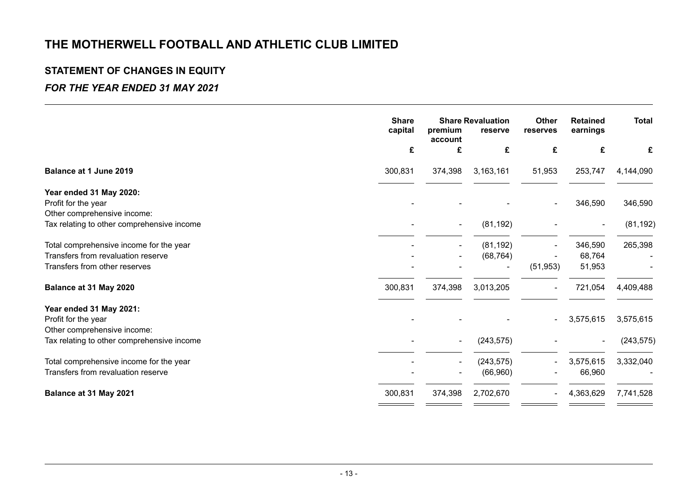# **STATEMENT OF CHANGES IN EQUITY**

### *FOR THE YEAR ENDED 31 MAY 2021*

| <b>Share</b><br><b>Share Revaluation</b><br>Other<br>capital<br>premium<br>reserve<br>reserves |                          |            |                         |                |                                   |  |  | <b>Retained</b><br>earnings | <b>Total</b> |
|------------------------------------------------------------------------------------------------|--------------------------|------------|-------------------------|----------------|-----------------------------------|--|--|-----------------------------|--------------|
| £                                                                                              | £                        | £          | £                       | £              | £                                 |  |  |                             |              |
| 300,831                                                                                        | 374,398                  | 3,163,161  | 51,953                  | 253,747        | 4,144,090                         |  |  |                             |              |
|                                                                                                |                          |            |                         |                |                                   |  |  |                             |              |
|                                                                                                |                          |            |                         | 346,590        | 346,590                           |  |  |                             |              |
|                                                                                                |                          |            |                         |                |                                   |  |  |                             |              |
|                                                                                                |                          | (81, 192)  |                         | $\blacksquare$ | (81, 192)                         |  |  |                             |              |
|                                                                                                |                          |            |                         |                | 265,398                           |  |  |                             |              |
|                                                                                                |                          | (68, 764)  |                         | 68,764         |                                   |  |  |                             |              |
|                                                                                                |                          |            | (51, 953)               | 51,953         |                                   |  |  |                             |              |
| 300,831                                                                                        | 374,398                  | 3,013,205  |                         | 721,054        | 4,409,488                         |  |  |                             |              |
|                                                                                                |                          |            |                         |                |                                   |  |  |                             |              |
|                                                                                                |                          |            |                         |                | 3,575,615                         |  |  |                             |              |
|                                                                                                |                          |            |                         |                |                                   |  |  |                             |              |
|                                                                                                | $\overline{\phantom{0}}$ | (243, 575) |                         | $\sim$         | (243, 575)                        |  |  |                             |              |
|                                                                                                | $\blacksquare$           |            |                         |                | 3,332,040                         |  |  |                             |              |
|                                                                                                |                          | (66, 960)  |                         | 66,960         |                                   |  |  |                             |              |
| 300,831                                                                                        | 374,398                  | 2,702,670  |                         | 4,363,629      | 7,741,528                         |  |  |                             |              |
|                                                                                                |                          | account    | (81, 192)<br>(243, 575) |                | 346,590<br>3,575,615<br>3,575,615 |  |  |                             |              |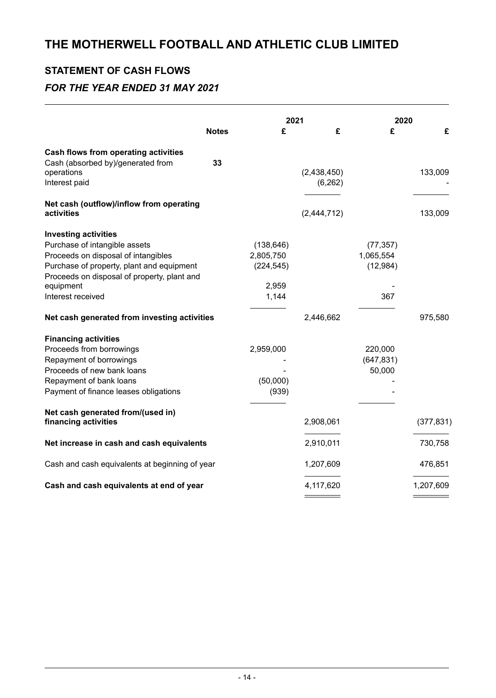# **STATEMENT OF CASH FLOWS**

### *FOR THE YEAR ENDED 31 MAY 2021*

| <b>Notes</b>                                           | £          | 2021<br>£   | 2020<br>£  | £          |
|--------------------------------------------------------|------------|-------------|------------|------------|
| <b>Cash flows from operating activities</b>            |            |             |            |            |
| Cash (absorbed by)/generated from<br>33<br>operations  |            | (2,438,450) |            | 133,009    |
| Interest paid                                          |            | (6, 262)    |            |            |
| Net cash (outflow)/inflow from operating<br>activities |            | (2,444,712) |            | 133,009    |
| <b>Investing activities</b>                            |            |             |            |            |
| Purchase of intangible assets                          | (138, 646) |             | (77, 357)  |            |
| Proceeds on disposal of intangibles                    | 2,805,750  |             | 1,065,554  |            |
| Purchase of property, plant and equipment              | (224, 545) |             | (12, 984)  |            |
| Proceeds on disposal of property, plant and            |            |             |            |            |
| equipment                                              | 2,959      |             |            |            |
| Interest received                                      | 1,144      |             | 367        |            |
| Net cash generated from investing activities           |            | 2,446,662   |            | 975,580    |
| <b>Financing activities</b>                            |            |             |            |            |
| Proceeds from borrowings                               | 2,959,000  |             | 220,000    |            |
| Repayment of borrowings                                |            |             | (647, 831) |            |
| Proceeds of new bank loans                             |            |             | 50,000     |            |
| Repayment of bank loans                                | (50,000)   |             |            |            |
| Payment of finance leases obligations                  | (939)      |             |            |            |
| Net cash generated from/(used in)                      |            |             |            |            |
| financing activities                                   |            | 2,908,061   |            | (377, 831) |
| Net increase in cash and cash equivalents              |            | 2,910,011   |            | 730,758    |
| Cash and cash equivalents at beginning of year         |            | 1,207,609   |            | 476,851    |
| Cash and cash equivalents at end of year               |            | 4,117,620   |            | 1,207,609  |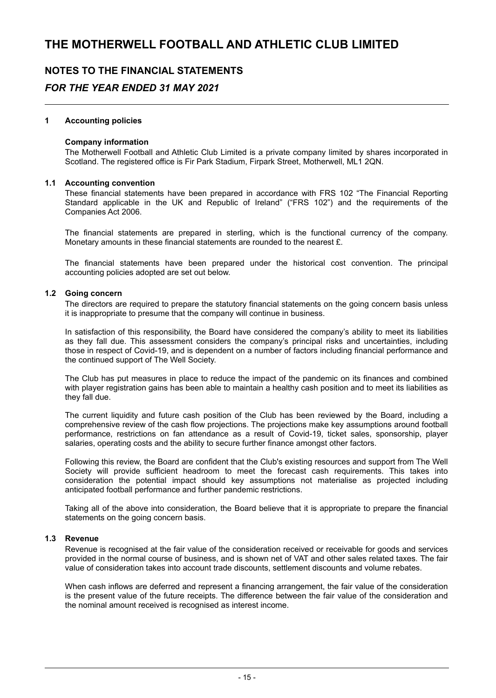### **NOTES TO THE FINANCIAL STATEMENTS**

### *FOR THE YEAR ENDED 31 MAY 2021*

#### **1 Accounting policies**

#### **Company information**

The Motherwell Football and Athletic Club Limited is a private company limited by shares incorporated in Scotland. The registered office is Fir Park Stadium, Firpark Street, Motherwell, ML1 2QN.

#### **1.1 Accounting convention**

These financial statements have been prepared in accordance with FRS 102 "The Financial Reporting Standard applicable in the UK and Republic of Ireland" ("FRS 102") and the requirements of the Companies Act 2006.

The financial statements are prepared in sterling, which is the functional currency of the company. Monetary amounts in these financial statements are rounded to the nearest £.

The financial statements have been prepared under the historical cost convention. The principal accounting policies adopted are set out below.

#### **1.2 Going concern**

The directors are required to prepare the statutory financial statements on the going concern basis unless it is inappropriate to presume that the company will continue in business.

In satisfaction of this responsibility, the Board have considered the company's ability to meet its liabilities as they fall due. This assessment considers the company's principal risks and uncertainties, including those in respect of Covid-19, and is dependent on a number of factors including financial performance and the continued support of The Well Society.

The Club has put measures in place to reduce the impact of the pandemic on its finances and combined with player registration gains has been able to maintain a healthy cash position and to meet its liabilities as they fall due.

The current liquidity and future cash position of the Club has been reviewed by the Board, including a comprehensive review of the cash flow projections. The projections make key assumptions around football performance, restrictions on fan attendance as a result of Covid-19, ticket sales, sponsorship, player salaries, operating costs and the ability to secure further finance amongst other factors.

Following this review, the Board are confident that the Club's existing resources and support from The Well Society will provide sufficient headroom to meet the forecast cash requirements. This takes into consideration the potential impact should key assumptions not materialise as projected including anticipated football performance and further pandemic restrictions.

Taking all of the above into consideration, the Board believe that it is appropriate to prepare the financial statements on the going concern basis.

#### **1.3 Revenue**

Revenue is recognised at the fair value of the consideration received or receivable for goods and services provided in the normal course of business, and is shown net of VAT and other sales related taxes. The fair value of consideration takes into account trade discounts, settlement discounts and volume rebates.

When cash inflows are deferred and represent a financing arrangement, the fair value of the consideration is the present value of the future receipts. The difference between the fair value of the consideration and the nominal amount received is recognised as interest income.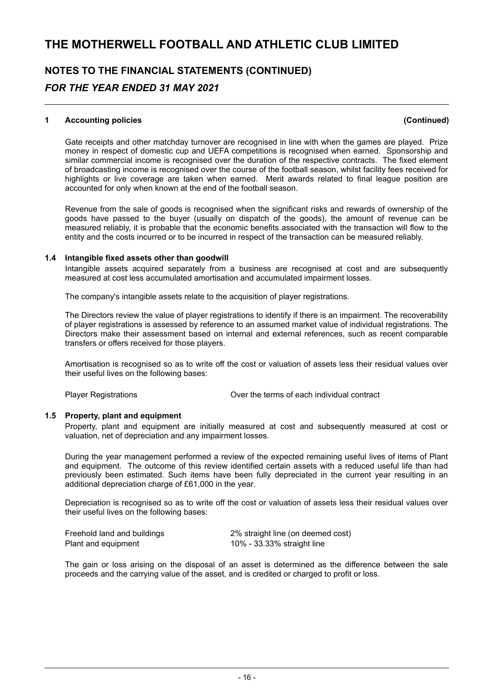## **NOTES TO THE FINANCIAL STATEMENTS (CONTINUED)** *FOR THE YEAR ENDED 31 MAY 2021*

#### **1 Accounting policies (Continued)**

Gate receipts and other matchday turnover are recognised in line with when the games are played. Prize money in respect of domestic cup and UEFA competitions is recognised when earned. Sponsorship and similar commercial income is recognised over the duration of the respective contracts. The fixed element of broadcasting income is recognised over the course of the football season, whilst facility fees received for highlights or live coverage are taken when earned. Merit awards related to final league position are accounted for only when known at the end of the football season.

Revenue from the sale of goods is recognised when the significant risks and rewards of ownership of the goods have passed to the buyer (usually on dispatch of the goods), the amount of revenue can be measured reliably, it is probable that the economic benefits associated with the transaction will flow to the entity and the costs incurred or to be incurred in respect of the transaction can be measured reliably.

#### **1.4 Intangible fixed assets other than goodwill**

Intangible assets acquired separately from a business are recognised at cost and are subsequently measured at cost less accumulated amortisation and accumulated impairment losses.

The company's intangible assets relate to the acquisition of player registrations.

The Directors review the value of player registrations to identify if there is an impairment. The recoverability of player registrations is assessed by reference to an assumed market value of individual registrations. The Directors make their assessment based on internal and external references, such as recent comparable transfers or offers received for those players.

Amortisation is recognised so as to write off the cost or valuation of assets less their residual values over their useful lives on the following bases:

Player Registrations Over the terms of each individual contract

#### **1.5 Property, plant and equipment**

Property, plant and equipment are initially measured at cost and subsequently measured at cost or valuation, net of depreciation and any impairment losses.

During the year management performed a review of the expected remaining useful lives of items of Plant and equipment. The outcome of this review identified certain assets with a reduced useful life than had previously been estimated. Such items have been fully depreciated in the current year resulting in an additional depreciation charge of £61,000 in the year.

Depreciation is recognised so as to write off the cost or valuation of assets less their residual values over their useful lives on the following bases:

| Freehold land and buildings | 2% straight line (on deemed cost) |
|-----------------------------|-----------------------------------|
| Plant and equipment         | 10% - 33.33% straight line        |

The gain or loss arising on the disposal of an asset is determined as the difference between the sale proceeds and the carrying value of the asset, and is credited or charged to profit or loss.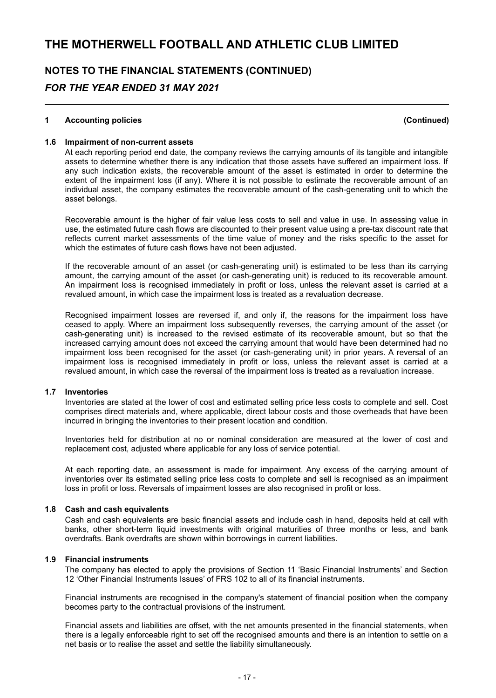# **NOTES TO THE FINANCIAL STATEMENTS (CONTINUED)**

### *FOR THE YEAR ENDED 31 MAY 2021*

#### **1 Accounting policies (Continued)**

#### **1.6 Impairment of non-current assets**

At each reporting period end date, the company reviews the carrying amounts of its tangible and intangible assets to determine whether there is any indication that those assets have suffered an impairment loss. If any such indication exists, the recoverable amount of the asset is estimated in order to determine the extent of the impairment loss (if any). Where it is not possible to estimate the recoverable amount of an individual asset, the company estimates the recoverable amount of the cash-generating unit to which the asset belongs.

Recoverable amount is the higher of fair value less costs to sell and value in use. In assessing value in use, the estimated future cash flows are discounted to their present value using a pre-tax discount rate that reflects current market assessments of the time value of money and the risks specific to the asset for which the estimates of future cash flows have not been adjusted.

If the recoverable amount of an asset (or cash-generating unit) is estimated to be less than its carrying amount, the carrying amount of the asset (or cash-generating unit) is reduced to its recoverable amount. An impairment loss is recognised immediately in profit or loss, unless the relevant asset is carried at a revalued amount, in which case the impairment loss is treated as a revaluation decrease.

Recognised impairment losses are reversed if, and only if, the reasons for the impairment loss have ceased to apply. Where an impairment loss subsequently reverses, the carrying amount of the asset (or cash-generating unit) is increased to the revised estimate of its recoverable amount, but so that the increased carrying amount does not exceed the carrying amount that would have been determined had no impairment loss been recognised for the asset (or cash-generating unit) in prior years. A reversal of an impairment loss is recognised immediately in profit or loss, unless the relevant asset is carried at a revalued amount, in which case the reversal of the impairment loss is treated as a revaluation increase.

#### **1.7 Inventories**

Inventories are stated at the lower of cost and estimated selling price less costs to complete and sell. Cost comprises direct materials and, where applicable, direct labour costs and those overheads that have been incurred in bringing the inventories to their present location and condition.

Inventories held for distribution at no or nominal consideration are measured at the lower of cost and replacement cost, adjusted where applicable for any loss of service potential.

At each reporting date, an assessment is made for impairment. Any excess of the carrying amount of inventories over its estimated selling price less costs to complete and sell is recognised as an impairment loss in profit or loss. Reversals of impairment losses are also recognised in profit or loss.

#### **1.8 Cash and cash equivalents**

Cash and cash equivalents are basic financial assets and include cash in hand, deposits held at call with banks, other short-term liquid investments with original maturities of three months or less, and bank overdrafts. Bank overdrafts are shown within borrowings in current liabilities.

#### **1.9 Financial instruments**

The company has elected to apply the provisions of Section 11 'Basic Financial Instruments' and Section 12 'Other Financial Instruments Issues' of FRS 102 to all of its financial instruments.

Financial instruments are recognised in the company's statement of financial position when the company becomes party to the contractual provisions of the instrument.

Financial assets and liabilities are offset, with the net amounts presented in the financial statements, when there is a legally enforceable right to set off the recognised amounts and there is an intention to settle on a net basis or to realise the asset and settle the liability simultaneously.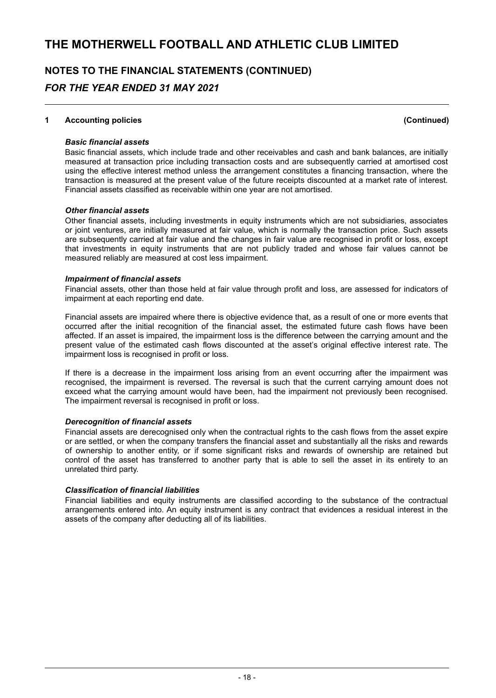#### **1 Accounting policies (Continued)**

#### *Basic financial assets*

Basic financial assets, which include trade and other receivables and cash and bank balances, are initially measured at transaction price including transaction costs and are subsequently carried at amortised cost using the effective interest method unless the arrangement constitutes a financing transaction, where the transaction is measured at the present value of the future receipts discounted at a market rate of interest. Financial assets classified as receivable within one year are not amortised.

#### *Other financial assets*

Other financial assets, including investments in equity instruments which are not subsidiaries, associates or joint ventures, are initially measured at fair value, which is normally the transaction price. Such assets are subsequently carried at fair value and the changes in fair value are recognised in profit or loss, except that investments in equity instruments that are not publicly traded and whose fair values cannot be measured reliably are measured at cost less impairment.

#### *Impairment of financial assets*

Financial assets, other than those held at fair value through profit and loss, are assessed for indicators of impairment at each reporting end date.

Financial assets are impaired where there is objective evidence that, as a result of one or more events that occurred after the initial recognition of the financial asset, the estimated future cash flows have been affected. If an asset is impaired, the impairment loss is the difference between the carrying amount and the present value of the estimated cash flows discounted at the asset's original effective interest rate. The impairment loss is recognised in profit or loss.

If there is a decrease in the impairment loss arising from an event occurring after the impairment was recognised, the impairment is reversed. The reversal is such that the current carrying amount does not exceed what the carrying amount would have been, had the impairment not previously been recognised. The impairment reversal is recognised in profit or loss.

#### *Derecognition of financial assets*

Financial assets are derecognised only when the contractual rights to the cash flows from the asset expire or are settled, or when the company transfers the financial asset and substantially all the risks and rewards of ownership to another entity, or if some significant risks and rewards of ownership are retained but control of the asset has transferred to another party that is able to sell the asset in its entirety to an unrelated third party.

#### *Classification of financial liabilities*

Financial liabilities and equity instruments are classified according to the substance of the contractual arrangements entered into. An equity instrument is any contract that evidences a residual interest in the assets of the company after deducting all of its liabilities.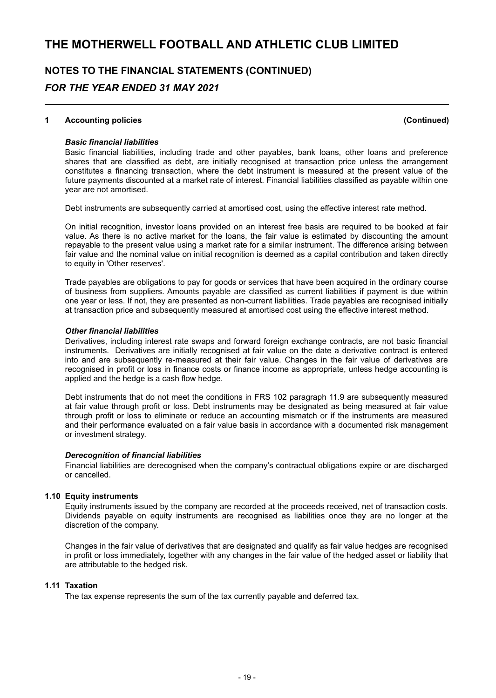#### **1 Accounting policies (Continued)**

#### *Basic financial liabilities*

Basic financial liabilities, including trade and other payables, bank loans, other loans and preference shares that are classified as debt, are initially recognised at transaction price unless the arrangement constitutes a financing transaction, where the debt instrument is measured at the present value of the future payments discounted at a market rate of interest. Financial liabilities classified as payable within one year are not amortised.

Debt instruments are subsequently carried at amortised cost, using the effective interest rate method.

On initial recognition, investor loans provided on an interest free basis are required to be booked at fair value. As there is no active market for the loans, the fair value is estimated by discounting the amount repayable to the present value using a market rate for a similar instrument. The difference arising between fair value and the nominal value on initial recognition is deemed as a capital contribution and taken directly to equity in 'Other reserves'.

Trade payables are obligations to pay for goods or services that have been acquired in the ordinary course of business from suppliers. Amounts payable are classified as current liabilities if payment is due within one year or less. If not, they are presented as non-current liabilities. Trade payables are recognised initially at transaction price and subsequently measured at amortised cost using the effective interest method.

#### *Other financial liabilities*

Derivatives, including interest rate swaps and forward foreign exchange contracts, are not basic financial instruments. Derivatives are initially recognised at fair value on the date a derivative contract is entered into and are subsequently re-measured at their fair value. Changes in the fair value of derivatives are recognised in profit or loss in finance costs or finance income as appropriate, unless hedge accounting is applied and the hedge is a cash flow hedge.

Debt instruments that do not meet the conditions in FRS 102 paragraph 11.9 are subsequently measured at fair value through profit or loss. Debt instruments may be designated as being measured at fair value through profit or loss to eliminate or reduce an accounting mismatch or if the instruments are measured and their performance evaluated on a fair value basis in accordance with a documented risk management or investment strategy.

#### *Derecognition of financial liabilities*

Financial liabilities are derecognised when the company's contractual obligations expire or are discharged or cancelled.

#### **1.10 Equity instruments**

Equity instruments issued by the company are recorded at the proceeds received, net of transaction costs. Dividends payable on equity instruments are recognised as liabilities once they are no longer at the discretion of the company.

Changes in the fair value of derivatives that are designated and qualify as fair value hedges are recognised in profit or loss immediately, together with any changes in the fair value of the hedged asset or liability that are attributable to the hedged risk.

#### **1.11 Taxation**

The tax expense represents the sum of the tax currently payable and deferred tax.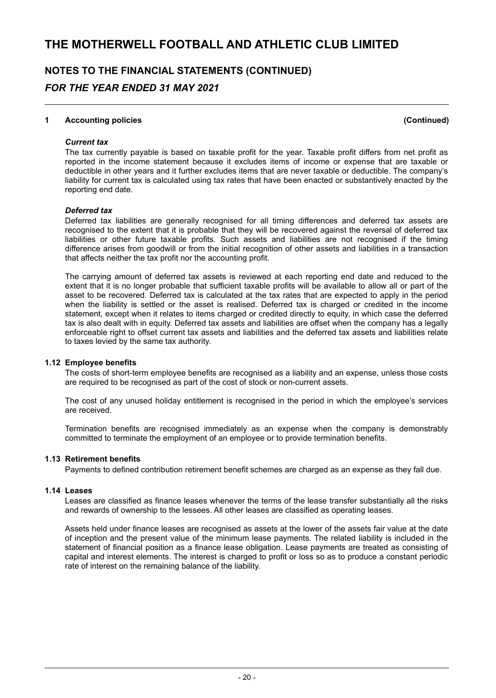### **NOTES TO THE FINANCIAL STATEMENTS (CONTINUED)** *FOR THE YEAR ENDED 31 MAY 2021*

#### **1 Accounting policies (Continued)**

#### *Current tax*

The tax currently payable is based on taxable profit for the year. Taxable profit differs from net profit as reported in the income statement because it excludes items of income or expense that are taxable or deductible in other years and it further excludes items that are never taxable or deductible. The company's liability for current tax is calculated using tax rates that have been enacted or substantively enacted by the reporting end date.

#### *Deferred tax*

Deferred tax liabilities are generally recognised for all timing differences and deferred tax assets are recognised to the extent that it is probable that they will be recovered against the reversal of deferred tax liabilities or other future taxable profits. Such assets and liabilities are not recognised if the timing difference arises from goodwill or from the initial recognition of other assets and liabilities in a transaction that affects neither the tax profit nor the accounting profit.

The carrying amount of deferred tax assets is reviewed at each reporting end date and reduced to the extent that it is no longer probable that sufficient taxable profits will be available to allow all or part of the asset to be recovered. Deferred tax is calculated at the tax rates that are expected to apply in the period when the liability is settled or the asset is realised. Deferred tax is charged or credited in the income statement, except when it relates to items charged or credited directly to equity, in which case the deferred tax is also dealt with in equity. Deferred tax assets and liabilities are offset when the company has a legally enforceable right to offset current tax assets and liabilities and the deferred tax assets and liabilities relate to taxes levied by the same tax authority.

#### **1.12 Employee benefits**

The costs of short-term employee benefits are recognised as a liability and an expense, unless those costs are required to be recognised as part of the cost of stock or non-current assets.

The cost of any unused holiday entitlement is recognised in the period in which the employee's services are received.

Termination benefits are recognised immediately as an expense when the company is demonstrably committed to terminate the employment of an employee or to provide termination benefits.

#### **1.13 Retirement benefits**

Payments to defined contribution retirement benefit schemes are charged as an expense as they fall due.

#### **1.14 Leases**

Leases are classified as finance leases whenever the terms of the lease transfer substantially all the risks and rewards of ownership to the lessees. All other leases are classified as operating leases.

Assets held under finance leases are recognised as assets at the lower of the assets fair value at the date of inception and the present value of the minimum lease payments. The related liability is included in the statement of financial position as a finance lease obligation. Lease payments are treated as consisting of capital and interest elements. The interest is charged to profit or loss so as to produce a constant periodic rate of interest on the remaining balance of the liability.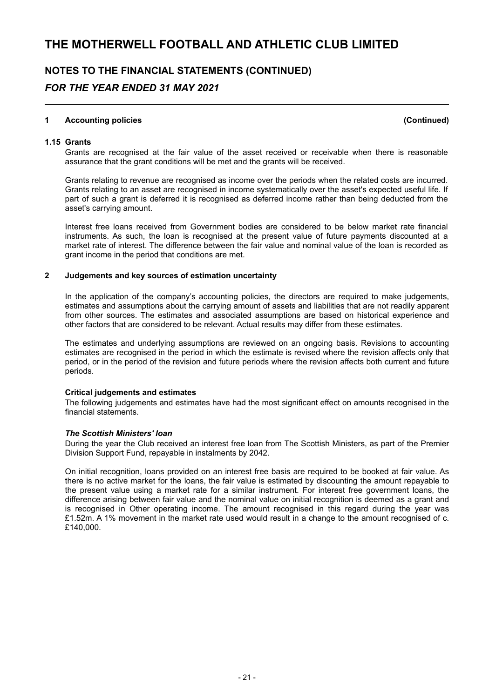#### **1 Accounting policies (Continued)**

**1.15 Grants**

Grants are recognised at the fair value of the asset received or receivable when there is reasonable assurance that the grant conditions will be met and the grants will be received.

Grants relating to revenue are recognised as income over the periods when the related costs are incurred. Grants relating to an asset are recognised in income systematically over the asset's expected useful life. If part of such a grant is deferred it is recognised as deferred income rather than being deducted from the asset's carrying amount.

Interest free loans received from Government bodies are considered to be below market rate financial instruments. As such, the loan is recognised at the present value of future payments discounted at a market rate of interest. The difference between the fair value and nominal value of the loan is recorded as grant income in the period that conditions are met.

#### **2 Judgements and key sources of estimation uncertainty**

In the application of the company's accounting policies, the directors are required to make judgements, estimates and assumptions about the carrying amount of assets and liabilities that are not readily apparent from other sources. The estimates and associated assumptions are based on historical experience and other factors that are considered to be relevant. Actual results may differ from these estimates.

The estimates and underlying assumptions are reviewed on an ongoing basis. Revisions to accounting estimates are recognised in the period in which the estimate is revised where the revision affects only that period, or in the period of the revision and future periods where the revision affects both current and future periods.

#### **Critical judgements and estimates**

The following judgements and estimates have had the most significant effect on amounts recognised in the financial statements.

#### *The Scottish Ministers' loan*

During the year the Club received an interest free loan from The Scottish Ministers, as part of the Premier Division Support Fund, repayable in instalments by 2042.

On initial recognition, loans provided on an interest free basis are required to be booked at fair value. As there is no active market for the loans, the fair value is estimated by discounting the amount repayable to the present value using a market rate for a similar instrument. For interest free government loans, the difference arising between fair value and the nominal value on initial recognition is deemed as a grant and is recognised in Other operating income. The amount recognised in this regard during the year was £1.52m. A 1% movement in the market rate used would result in a change to the amount recognised of c. £140,000.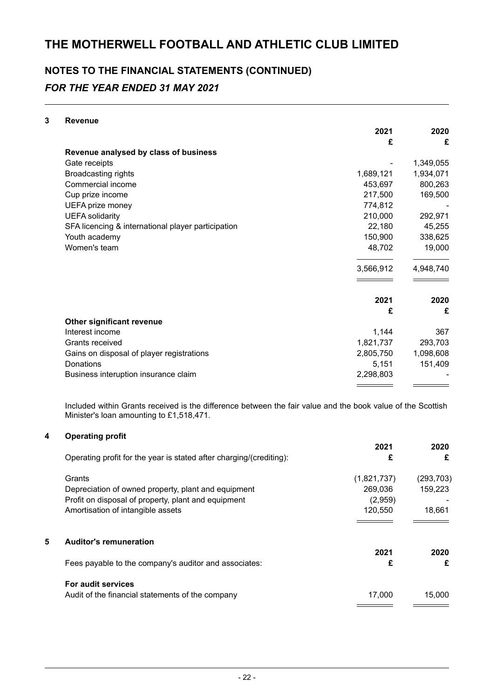# **NOTES TO THE FINANCIAL STATEMENTS (CONTINUED)**

### *FOR THE YEAR ENDED 31 MAY 2021*

#### **3 Revenue**

|                                                    | 2021      | 2020      |
|----------------------------------------------------|-----------|-----------|
|                                                    | £         | £         |
| Revenue analysed by class of business              |           |           |
| Gate receipts                                      |           | 1,349,055 |
| <b>Broadcasting rights</b>                         | 1,689,121 | 1,934,071 |
| Commercial income                                  | 453,697   | 800,263   |
| Cup prize income                                   | 217,500   | 169,500   |
| UEFA prize money                                   | 774,812   |           |
| <b>UEFA</b> solidarity                             | 210,000   | 292,971   |
| SFA licencing & international player participation | 22,180    | 45,255    |
| Youth academy                                      | 150,900   | 338,625   |
| Women's team                                       | 48,702    | 19,000    |
|                                                    | 3,566,912 | 4,948,740 |
|                                                    | 2021      | 2020      |
|                                                    | £         | £         |
| Other significant revenue                          |           |           |
| Interest income                                    | 1,144     | 367       |
| Grants received                                    | 1,821,737 | 293,703   |
| Gains on disposal of player registrations          | 2,805,750 | 1,098,608 |
| Donations                                          | 5,151     | 151,409   |
| Business interuption insurance claim               | 2,298,803 |           |
|                                                    |           |           |

Included within Grants received is the difference between the fair value and the book value of the Scottish Minister's loan amounting to £1,518,471.

#### **4 Operating profit**

|   |                                                                     | 2021        | 2020       |
|---|---------------------------------------------------------------------|-------------|------------|
|   | Operating profit for the year is stated after charging/(crediting): | £           | £          |
|   | Grants                                                              | (1,821,737) | (293, 703) |
|   | Depreciation of owned property, plant and equipment                 | 269.036     | 159.223    |
|   | Profit on disposal of property, plant and equipment                 | (2,959)     |            |
|   | Amortisation of intangible assets                                   | 120.550     | 18.661     |
|   |                                                                     |             |            |
| 5 | <b>Auditor's remuneration</b>                                       | 2021        | 2020       |
|   | Fees payable to the company's auditor and associates:               | £           | £          |
|   |                                                                     |             |            |
|   | For audit services                                                  |             |            |
|   | Audit of the financial statements of the company                    | 17,000      | 15.000     |
|   |                                                                     |             |            |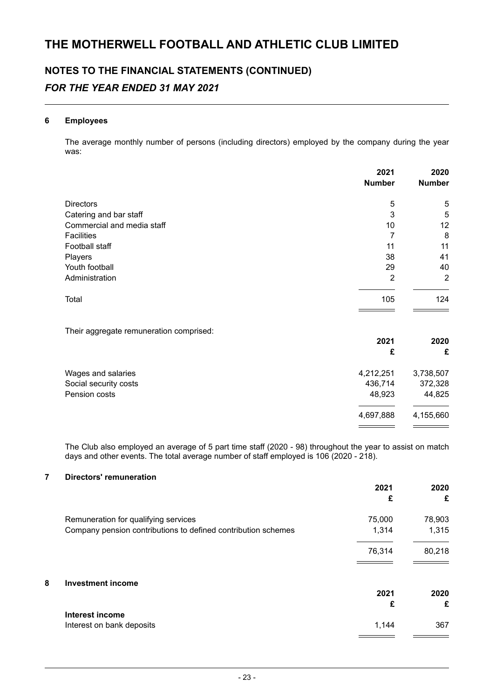#### **6 Employees**

The average monthly number of persons (including directors) employed by the company during the year was:

|                                         | 2021          | 2020           |
|-----------------------------------------|---------------|----------------|
|                                         | <b>Number</b> | <b>Number</b>  |
| <b>Directors</b>                        | 5             | 5              |
| Catering and bar staff                  | 3             | 5              |
| Commercial and media staff              | 10            | 12             |
| <b>Facilities</b>                       | 7             | 8              |
| Football staff                          | 11            | 11             |
| Players                                 | 38            | 41             |
| Youth football                          | 29            | 40             |
| Administration                          | 2             | $\overline{2}$ |
| Total                                   | 105           | 124            |
| Their aggregate remuneration comprised: |               |                |
|                                         | 2021          | 2020           |
|                                         | £             | £              |
| Wages and salaries                      | 4,212,251     | 3,738,507      |
| Social security costs                   | 436,714       | 372,328        |
| Pension costs                           | 48,923        | 44,825         |
|                                         | 4,697,888     | 4,155,660      |

The Club also employed an average of 5 part time staff (2020 - 98) throughout the year to assist on match days and other events. The total average number of staff employed is 106 (2020 - 218).

#### **7 Directors' remuneration**

|                                                               | 2021<br>£ | 2020<br>£ |
|---------------------------------------------------------------|-----------|-----------|
| Remuneration for qualifying services                          | 75,000    | 78,903    |
| Company pension contributions to defined contribution schemes | 1,314     | 1,315     |
|                                                               | 76,314    | 80,218    |
| 8<br><b>Investment income</b>                                 |           |           |
|                                                               | 2021<br>£ | 2020<br>£ |
| <b>Interest income</b>                                        |           |           |
| Interest on bank deposits                                     | 1,144     | 367       |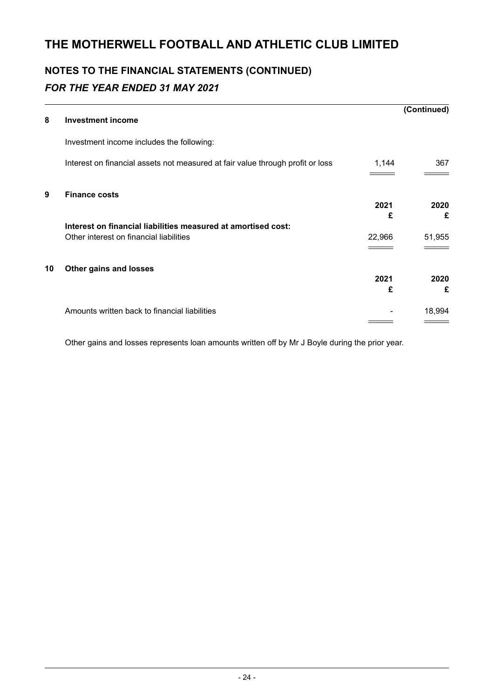# **NOTES TO THE FINANCIAL STATEMENTS (CONTINUED)** *FOR THE YEAR ENDED 31 MAY 2021*

|    |                                                                                |           | (Continued) |
|----|--------------------------------------------------------------------------------|-----------|-------------|
| 8  | <b>Investment income</b>                                                       |           |             |
|    | Investment income includes the following:                                      |           |             |
|    | Interest on financial assets not measured at fair value through profit or loss | 1,144     | 367         |
| 9  | <b>Finance costs</b>                                                           | 2021<br>£ | 2020<br>£   |
|    | Interest on financial liabilities measured at amortised cost:                  |           |             |
|    | Other interest on financial liabilities                                        | 22,966    | 51,955      |
| 10 | Other gains and losses                                                         |           |             |
|    |                                                                                | 2021      | 2020        |
|    |                                                                                | £         | £           |
|    | Amounts written back to financial liabilities                                  |           | 18,994      |
|    |                                                                                |           |             |

Other gains and losses represents loan amounts written off by Mr J Boyle during the prior year.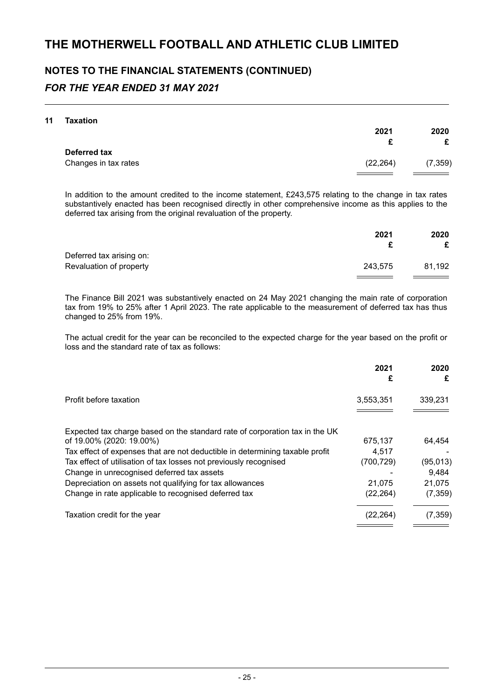#### **11 Taxation**

| .                    | 2021      | 2020<br>£ |
|----------------------|-----------|-----------|
| Deferred tax         |           |           |
| Changes in tax rates | (22, 264) | (7, 359)  |
|                      |           |           |

In addition to the amount credited to the income statement, £243,575 relating to the change in tax rates substantively enacted has been recognised directly in other comprehensive income as this applies to the deferred tax arising from the original revaluation of the property.

|                          | 2021    | 2020   |
|--------------------------|---------|--------|
|                          |         |        |
| Deferred tax arising on: |         |        |
| Revaluation of property  | 243.575 | 81.192 |
|                          |         |        |

The Finance Bill 2021 was substantively enacted on 24 May 2021 changing the main rate of corporation tax from 19% to 25% after 1 April 2023. The rate applicable to the measurement of deferred tax has thus changed to 25% from 19%.

The actual credit for the year can be reconciled to the expected charge for the year based on the profit or loss and the standard rate of tax as follows:

|                                                                                                         | 2021<br>£ | 2020<br>£ |
|---------------------------------------------------------------------------------------------------------|-----------|-----------|
| Profit before taxation                                                                                  | 3,553,351 | 339,231   |
| Expected tax charge based on the standard rate of corporation tax in the UK<br>of 19.00% (2020: 19.00%) | 675.137   | 64.454    |
| Tax effect of expenses that are not deductible in determining taxable profit                            | 4.517     |           |
| Tax effect of utilisation of tax losses not previously recognised                                       | (700,729) | (95, 013) |
| Change in unrecognised deferred tax assets                                                              |           | 9,484     |
| Depreciation on assets not qualifying for tax allowances                                                | 21,075    | 21,075    |
| Change in rate applicable to recognised deferred tax                                                    | (22, 264) | (7, 359)  |
| Taxation credit for the year                                                                            | (22.264)  | (7, 359)  |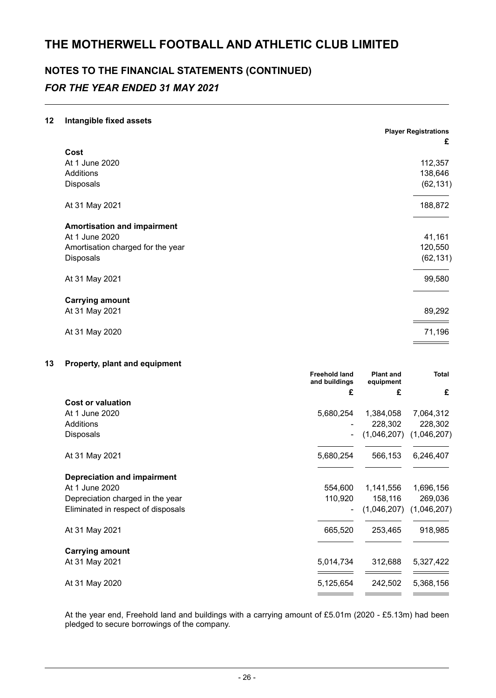# **NOTES TO THE FINANCIAL STATEMENTS (CONTINUED)**

### *FOR THE YEAR ENDED 31 MAY 2021*

#### **12 Intangible fixed assets**

|                                    | <b>Player Registrations</b> |
|------------------------------------|-----------------------------|
|                                    | £                           |
| Cost<br>At 1 June 2020             | 112,357                     |
| <b>Additions</b>                   | 138,646                     |
| Disposals                          | (62, 131)                   |
| At 31 May 2021                     | 188,872                     |
| <b>Amortisation and impairment</b> |                             |
| At 1 June 2020                     | 41,161                      |
| Amortisation charged for the year  | 120,550                     |
| <b>Disposals</b>                   | (62, 131)                   |
| At 31 May 2021                     | 99,580                      |
| <b>Carrying amount</b>             |                             |
| At 31 May 2021                     | 89,292                      |
| At 31 May 2020                     | 71,196                      |

#### **13 Property, plant and equipment**

|                                    | <b>Freehold land</b><br>and buildings | <b>Plant and</b><br>equipment | Total       |
|------------------------------------|---------------------------------------|-------------------------------|-------------|
|                                    | £                                     | £                             | £           |
| <b>Cost or valuation</b>           |                                       |                               |             |
| At 1 June 2020                     | 5,680,254                             | 1,384,058                     | 7,064,312   |
| Additions                          |                                       | 228,302                       | 228,302     |
| <b>Disposals</b>                   |                                       | (1,046,207)                   | (1,046,207) |
| At 31 May 2021                     | 5,680,254                             | 566,153                       | 6,246,407   |
| <b>Depreciation and impairment</b> |                                       |                               |             |
| At 1 June 2020                     | 554,600                               | 1,141,556                     | 1,696,156   |
| Depreciation charged in the year   | 110,920                               | 158,116                       | 269,036     |
| Eliminated in respect of disposals |                                       | (1,046,207)                   | (1,046,207) |
| At 31 May 2021                     | 665,520                               | 253,465                       | 918,985     |
| <b>Carrying amount</b>             |                                       |                               |             |
| At 31 May 2021                     | 5,014,734                             | 312,688                       | 5,327,422   |
| At 31 May 2020                     | 5,125,654                             | 242,502                       | 5,368,156   |
|                                    |                                       |                               |             |

At the year end, Freehold land and buildings with a carrying amount of £5.01m (2020 - £5.13m) had been pledged to secure borrowings of the company.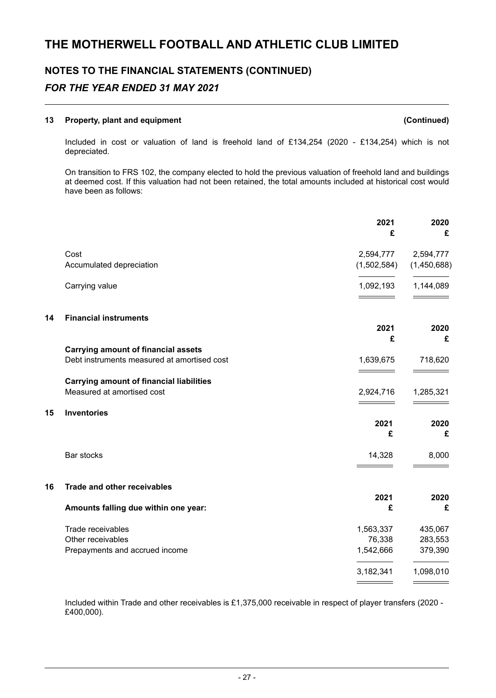#### **13 Property, plant and equipment (Continued)**

**15 Inventories**

Included in cost or valuation of land is freehold land of £134,254 (2020 - £134,254) which is not depreciated.

On transition to FRS 102, the company elected to hold the previous valuation of freehold land and buildings at deemed cost. If this valuation had not been retained, the total amounts included at historical cost would have been as follows:

|                                                                               | 2021<br>£                                                              | 2020<br>£                                  |
|-------------------------------------------------------------------------------|------------------------------------------------------------------------|--------------------------------------------|
| Cost                                                                          | 2,594,777                                                              | 2,594,777<br>(1,450,688)                   |
| Carrying value                                                                | 1,092,193                                                              | 1,144,089                                  |
| <b>Financial instruments</b>                                                  | 2021<br>£                                                              | 2020<br>£                                  |
| Debt instruments measured at amortised cost                                   | 1,639,675                                                              | 718,620                                    |
| <b>Carrying amount of financial liabilities</b><br>Measured at amortised cost | 2,924,716                                                              | 1,285,321                                  |
| <b>Inventories</b>                                                            | 2021<br>£                                                              | 2020<br>£                                  |
| Bar stocks                                                                    | 14,328                                                                 | 8,000                                      |
| <b>Trade and other receivables</b>                                            |                                                                        | 2020                                       |
| Amounts falling due within one year:                                          | £                                                                      | £                                          |
| Trade receivables<br>Other receivables<br>Prepayments and accrued income      | 1,563,337<br>76,338<br>1,542,666<br>3,182,341                          | 435,067<br>283,553<br>379,390<br>1,098,010 |
|                                                                               | Accumulated depreciation<br><b>Carrying amount of financial assets</b> | (1,502,584)<br>2021                        |

Included within Trade and other receivables is £1,375,000 receivable in respect of player transfers (2020 - £400,000).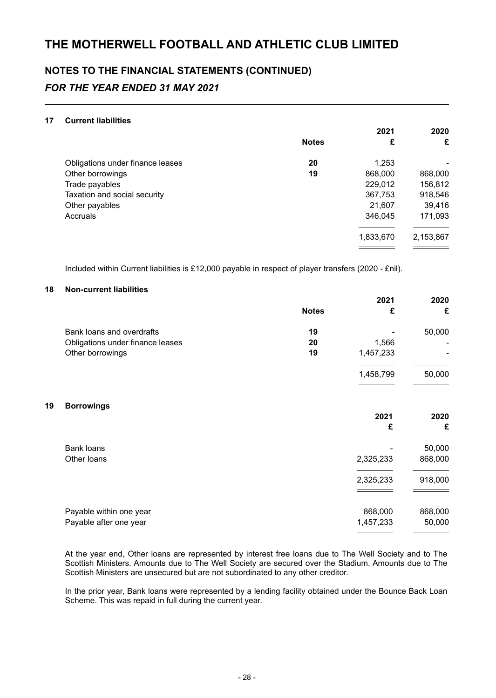#### **17 Current liabilities**

|                                  |              | 2021      | 2020      |
|----------------------------------|--------------|-----------|-----------|
|                                  | <b>Notes</b> | £         | £         |
| Obligations under finance leases | 20           | 1,253     | ۰         |
| Other borrowings                 | 19           | 868,000   | 868,000   |
| Trade payables                   |              | 229,012   | 156,812   |
| Taxation and social security     |              | 367,753   | 918,546   |
| Other payables                   |              | 21,607    | 39,416    |
| Accruals                         |              | 346,045   | 171,093   |
|                                  |              | 1,833,670 | 2,153,867 |
|                                  |              |           |           |

Included within Current liabilities is £12,000 payable in respect of player transfers (2020 - £nil).

#### **18 Non-current liabilities**

| 2021      | 2020    |
|-----------|---------|
| £         | £       |
|           | 50,000  |
| 1,566     |         |
| 1,457,233 |         |
| 1,458,799 | 50,000  |
|           |         |
|           | 2020    |
| £         | £       |
|           | 50,000  |
| 2,325,233 | 868,000 |
| 2,325,233 | 918,000 |
|           |         |
| 868,000   | 868,000 |
| 1,457,233 | 50,000  |
|           | 2021    |

At the year end, Other loans are represented by interest free loans due to The Well Society and to The Scottish Ministers. Amounts due to The Well Society are secured over the Stadium. Amounts due to The Scottish Ministers are unsecured but are not subordinated to any other creditor.

In the prior year, Bank loans were represented by a lending facility obtained under the Bounce Back Loan Scheme. This was repaid in full during the current year.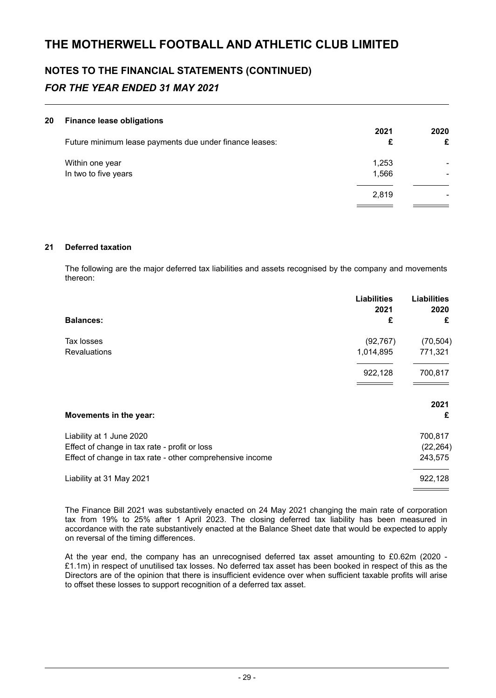#### **20 Finance lease obligations**

| Future minimum lease payments due under finance leases: | 2021<br>£      | 2020<br>£ |
|---------------------------------------------------------|----------------|-----------|
| Within one year<br>In two to five years                 | 1,253<br>1,566 |           |
|                                                         | 2.819          |           |
|                                                         |                |           |

#### **21 Deferred taxation**

The following are the major deferred tax liabilities and assets recognised by the company and movements thereon:

|                                                           | <b>Liabilities</b><br>2021 | <b>Liabilities</b><br>2020 |
|-----------------------------------------------------------|----------------------------|----------------------------|
| <b>Balances:</b>                                          | £                          | £                          |
| Tax losses                                                | (92, 767)                  | (70, 504)                  |
| <b>Revaluations</b>                                       | 1,014,895                  | 771,321                    |
|                                                           | 922,128                    | 700,817                    |
|                                                           |                            | 2021                       |
| Movements in the year:                                    |                            | £                          |
| Liability at 1 June 2020                                  |                            | 700,817                    |
| Effect of change in tax rate - profit or loss             |                            | (22, 264)                  |
| Effect of change in tax rate - other comprehensive income |                            | 243,575                    |
| Liability at 31 May 2021                                  |                            | 922,128                    |

The Finance Bill 2021 was substantively enacted on 24 May 2021 changing the main rate of corporation tax from 19% to 25% after 1 April 2023. The closing deferred tax liability has been measured in accordance with the rate substantively enacted at the Balance Sheet date that would be expected to apply on reversal of the timing differences.

At the year end, the company has an unrecognised deferred tax asset amounting to £0.62m (2020 - £1.1m) in respect of unutilised tax losses. No deferred tax asset has been booked in respect of this as the Directors are of the opinion that there is insufficient evidence over when sufficient taxable profits will arise to offset these losses to support recognition of a deferred tax asset.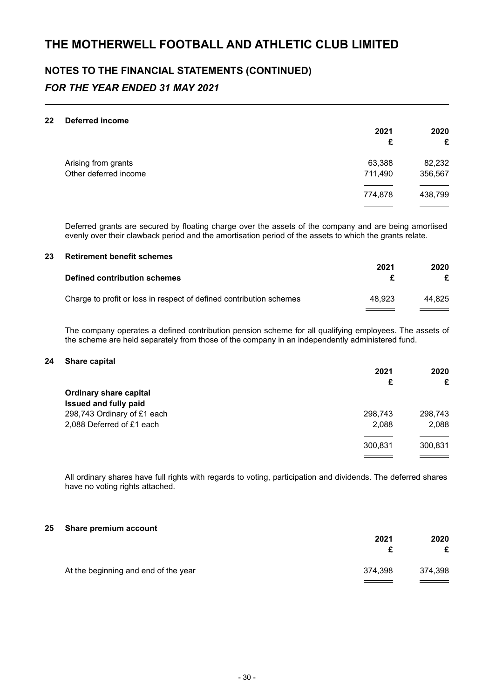#### **22 Deferred income**

|                       | 2021<br>£ | 2020<br>£ |
|-----------------------|-----------|-----------|
| Arising from grants   | 63,388    | 82,232    |
| Other deferred income | 711,490   | 356,567   |
|                       | 774,878   | 438,799   |
|                       |           |           |

Deferred grants are secured by floating charge over the assets of the company and are being amortised evenly over their clawback period and the amortisation period of the assets to which the grants relate.

#### **23 Retirement benefit schemes**

| Defined contribution schemes                                        | 2021   | 2020   |
|---------------------------------------------------------------------|--------|--------|
| Charge to profit or loss in respect of defined contribution schemes | 48.923 | 44.825 |

The company operates a defined contribution pension scheme for all qualifying employees. The assets of the scheme are held separately from those of the company in an independently administered fund.

#### **24 Share capital**

|                               | 2021    | 2020    |
|-------------------------------|---------|---------|
|                               | £       | £       |
| <b>Ordinary share capital</b> |         |         |
| Issued and fully paid         |         |         |
| 298,743 Ordinary of £1 each   | 298,743 | 298,743 |
| 2,088 Deferred of £1 each     | 2,088   | 2,088   |
|                               | 300,831 | 300,831 |
|                               |         |         |

All ordinary shares have full rights with regards to voting, participation and dividends. The deferred shares have no voting rights attached.

#### **25 Share premium account**

|                                      | 2021                                         | 2020<br>£                           |
|--------------------------------------|----------------------------------------------|-------------------------------------|
| At the beginning and end of the year | 374.398<br>the control of the control of the | 374,398<br><u>a shekara ta 1999</u> |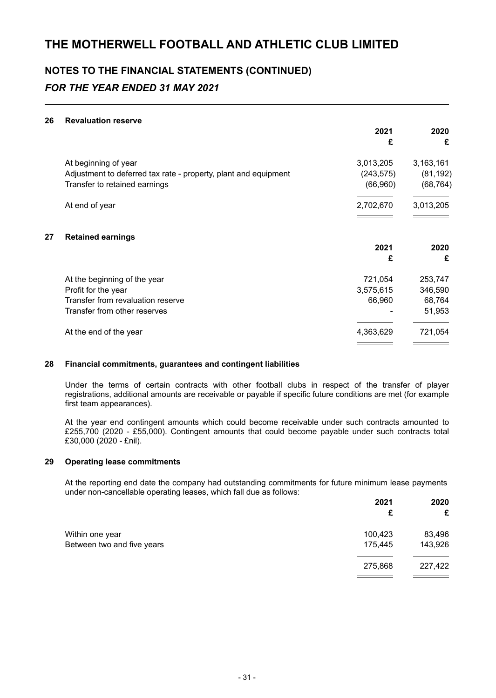#### **26 Revaluation reserve**

|    |                                                                 | 2021<br>£  | 2020<br>£ |
|----|-----------------------------------------------------------------|------------|-----------|
|    | At beginning of year                                            | 3,013,205  | 3,163,161 |
|    | Adjustment to deferred tax rate - property, plant and equipment | (243, 575) | (81, 192) |
|    | Transfer to retained earnings                                   | (66, 960)  | (68, 764) |
|    | At end of year                                                  | 2,702,670  | 3,013,205 |
| 27 | <b>Retained earnings</b>                                        |            |           |
|    |                                                                 | 2021       | 2020      |
|    |                                                                 | £          | £         |
|    | At the beginning of the year                                    | 721,054    | 253,747   |
|    | Profit for the year                                             | 3,575,615  | 346,590   |
|    | Transfer from revaluation reserve                               | 66,960     | 68,764    |
|    | Transfer from other reserves                                    |            | 51,953    |
|    | At the end of the year                                          | 4,363,629  | 721,054   |
|    |                                                                 |            |           |

#### **28 Financial commitments, guarantees and contingent liabilities**

Under the terms of certain contracts with other football clubs in respect of the transfer of player registrations, additional amounts are receivable or payable if specific future conditions are met (for example first team appearances).

At the year end contingent amounts which could become receivable under such contracts amounted to £255,700 (2020 - £55,000). Contingent amounts that could become payable under such contracts total £30,000 (2020 - £nil).

#### **29 Operating lease commitments**

At the reporting end date the company had outstanding commitments for future minimum lease payments under non-cancellable operating leases, which fall due as follows:

|                            | 2021    | 2020<br>£ |
|----------------------------|---------|-----------|
| Within one year            | 100,423 | 83,496    |
| Between two and five years | 175,445 | 143,926   |
|                            | 275,868 | 227,422   |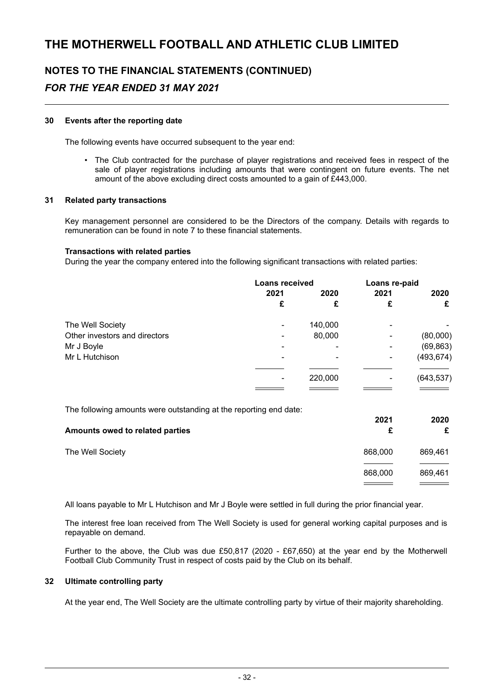# **NOTES TO THE FINANCIAL STATEMENTS (CONTINUED)**

### *FOR THE YEAR ENDED 31 MAY 2021*

#### **30 Events after the reporting date**

The following events have occurred subsequent to the year end:

• The Club contracted for the purchase of player registrations and received fees in respect of the sale of player registrations including amounts that were contingent on future events. The net amount of the above excluding direct costs amounted to a gain of £443,000.

#### **31 Related party transactions**

Key management personnel are considered to be the Directors of the company. Details with regards to remuneration can be found in note 7 to these financial statements.

#### **Transactions with related parties**

During the year the company entered into the following significant transactions with related parties:

|                               | <b>Loans received</b> |         | Loans re-paid |            |
|-------------------------------|-----------------------|---------|---------------|------------|
|                               | 2021                  | 2020    | 2021          | 2020       |
|                               | £                     | £       | £             | £          |
| The Well Society              | ٠                     | 140,000 | -             |            |
| Other investors and directors | ۰                     | 80,000  |               | (80,000)   |
| Mr J Boyle                    |                       | ۰       | ۰             | (69, 863)  |
| Mr L Hutchison                |                       |         |               | (493, 674) |
|                               |                       | 220,000 |               | (643, 537) |
|                               |                       |         |               |            |

The following amounts were outstanding at the reporting end date:

| Amounts owed to related parties | 2021    | 2020<br>£ |
|---------------------------------|---------|-----------|
| The Well Society                | 868,000 | 869,461   |
|                                 | 868,000 | 869,461   |

All loans payable to Mr L Hutchison and Mr J Boyle were settled in full during the prior financial year.

The interest free loan received from The Well Society is used for general working capital purposes and is repayable on demand.

Further to the above, the Club was due £50,817 (2020 - £67,650) at the year end by the Motherwell Football Club Community Trust in respect of costs paid by the Club on its behalf.

#### **32 Ultimate controlling party**

At the year end, The Well Society are the ultimate controlling party by virtue of their majority shareholding.